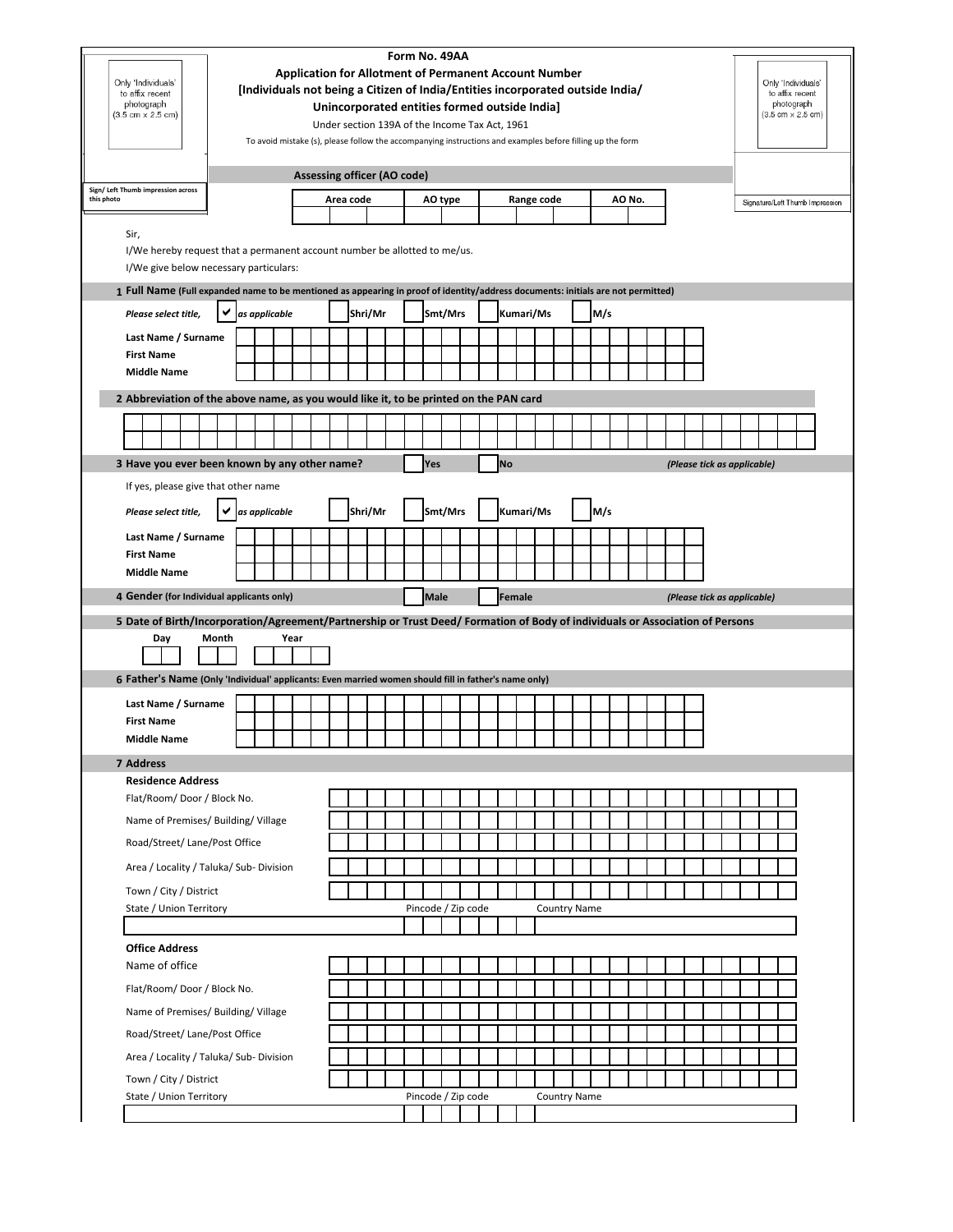| Only 'Individuals'<br>to affix recent<br>photograph<br>$(3.5 \text{ cm} \times 2.5 \text{ cm})$                                  |       | [Individuals not being a Citizen of India/Entities incorporated outside India/ | <b>Application for Allotment of Permanent Account Number</b><br>To avoid mistake (s), please follow the accompanying instructions and examples before filling up the form |  |           |         |                                    |             | Form No. 49AA      | Unincorporated entities formed outside India]<br>Under section 139A of the Income Tax Act, 1961 |           |            |                     |     |        |  |  |  |  |                             | Only 'Individuals'<br>to affix recent<br>photograph<br>$(3.5 \text{ cm} \times 2.5 \text{ cm})$ |  |  |
|----------------------------------------------------------------------------------------------------------------------------------|-------|--------------------------------------------------------------------------------|---------------------------------------------------------------------------------------------------------------------------------------------------------------------------|--|-----------|---------|------------------------------------|-------------|--------------------|-------------------------------------------------------------------------------------------------|-----------|------------|---------------------|-----|--------|--|--|--|--|-----------------------------|-------------------------------------------------------------------------------------------------|--|--|
|                                                                                                                                  |       |                                                                                |                                                                                                                                                                           |  |           |         | <b>Assessing officer (AO code)</b> |             |                    |                                                                                                 |           |            |                     |     |        |  |  |  |  |                             |                                                                                                 |  |  |
| Sign/ Left Thumb impression across<br>this photo                                                                                 |       |                                                                                |                                                                                                                                                                           |  | Area code |         |                                    |             | AO type            |                                                                                                 |           | Range code |                     |     | AO No. |  |  |  |  |                             | Signature/Left Thumb Impression                                                                 |  |  |
| Sir,<br>I/We hereby request that a permanent account number be allotted to me/us.<br>I/We give below necessary particulars:      |       |                                                                                |                                                                                                                                                                           |  |           |         |                                    |             |                    |                                                                                                 |           |            |                     |     |        |  |  |  |  |                             |                                                                                                 |  |  |
| 1 Full Name (Full expanded name to be mentioned as appearing in proof of identity/address documents: initials are not permitted) |       |                                                                                |                                                                                                                                                                           |  |           |         |                                    |             |                    |                                                                                                 |           |            |                     |     |        |  |  |  |  |                             |                                                                                                 |  |  |
| Please select title,                                                                                                             | ✔     | as applicable                                                                  |                                                                                                                                                                           |  |           | Shri/Mr |                                    |             | Smt/Mrs            |                                                                                                 |           | Kumari/Ms  |                     | M/s |        |  |  |  |  |                             |                                                                                                 |  |  |
| Last Name / Surname                                                                                                              |       |                                                                                |                                                                                                                                                                           |  |           |         |                                    |             |                    |                                                                                                 |           |            |                     |     |        |  |  |  |  |                             |                                                                                                 |  |  |
| <b>First Name</b><br><b>Middle Name</b>                                                                                          |       |                                                                                |                                                                                                                                                                           |  |           |         |                                    |             |                    |                                                                                                 |           |            |                     |     |        |  |  |  |  |                             |                                                                                                 |  |  |
|                                                                                                                                  |       |                                                                                |                                                                                                                                                                           |  |           |         |                                    |             |                    |                                                                                                 |           |            |                     |     |        |  |  |  |  |                             |                                                                                                 |  |  |
| 2 Abbreviation of the above name, as you would like it, to be printed on the PAN card                                            |       |                                                                                |                                                                                                                                                                           |  |           |         |                                    |             |                    |                                                                                                 |           |            |                     |     |        |  |  |  |  |                             |                                                                                                 |  |  |
|                                                                                                                                  |       |                                                                                |                                                                                                                                                                           |  |           |         |                                    |             |                    |                                                                                                 |           |            |                     |     |        |  |  |  |  |                             |                                                                                                 |  |  |
| 3 Have you ever been known by any other name?                                                                                    |       |                                                                                |                                                                                                                                                                           |  |           |         |                                    | Yes         |                    |                                                                                                 | <b>No</b> |            |                     |     |        |  |  |  |  | (Please tick as applicable) |                                                                                                 |  |  |
| If yes, please give that other name                                                                                              |       |                                                                                |                                                                                                                                                                           |  |           |         |                                    |             |                    |                                                                                                 |           |            |                     |     |        |  |  |  |  |                             |                                                                                                 |  |  |
| Please select title,                                                                                                             | ✔     | as applicable                                                                  |                                                                                                                                                                           |  |           | Shri/Mr |                                    |             | Smt/Mrs            |                                                                                                 |           | Kumari/Ms  |                     | M/s |        |  |  |  |  |                             |                                                                                                 |  |  |
| Last Name / Surname                                                                                                              |       |                                                                                |                                                                                                                                                                           |  |           |         |                                    |             |                    |                                                                                                 |           |            |                     |     |        |  |  |  |  |                             |                                                                                                 |  |  |
| <b>First Name</b>                                                                                                                |       |                                                                                |                                                                                                                                                                           |  |           |         |                                    |             |                    |                                                                                                 |           |            |                     |     |        |  |  |  |  |                             |                                                                                                 |  |  |
| <b>Middle Name</b>                                                                                                               |       |                                                                                |                                                                                                                                                                           |  |           |         |                                    |             |                    |                                                                                                 |           |            |                     |     |        |  |  |  |  |                             |                                                                                                 |  |  |
|                                                                                                                                  |       |                                                                                |                                                                                                                                                                           |  |           |         |                                    |             |                    |                                                                                                 |           |            |                     |     |        |  |  |  |  |                             |                                                                                                 |  |  |
| 4 Gender (for Individual applicants only)                                                                                        |       |                                                                                |                                                                                                                                                                           |  |           |         |                                    | <b>Male</b> |                    |                                                                                                 | Female    |            |                     |     |        |  |  |  |  | (Please tick as applicable) |                                                                                                 |  |  |
| 5 Date of Birth/Incorporation/Agreement/Partnership or Trust Deed/ Formation of Body of individuals or Association of Persons    |       |                                                                                |                                                                                                                                                                           |  |           |         |                                    |             |                    |                                                                                                 |           |            |                     |     |        |  |  |  |  |                             |                                                                                                 |  |  |
| Day                                                                                                                              | Month |                                                                                | Year                                                                                                                                                                      |  |           |         |                                    |             |                    |                                                                                                 |           |            |                     |     |        |  |  |  |  |                             |                                                                                                 |  |  |
|                                                                                                                                  |       |                                                                                |                                                                                                                                                                           |  |           |         |                                    |             |                    |                                                                                                 |           |            |                     |     |        |  |  |  |  |                             |                                                                                                 |  |  |
| 6 Father's Name (Only 'Individual' applicants: Even married women should fill in father's name only)                             |       |                                                                                |                                                                                                                                                                           |  |           |         |                                    |             |                    |                                                                                                 |           |            |                     |     |        |  |  |  |  |                             |                                                                                                 |  |  |
| Last Name / Surname                                                                                                              |       |                                                                                |                                                                                                                                                                           |  |           |         |                                    |             |                    |                                                                                                 |           |            |                     |     |        |  |  |  |  |                             |                                                                                                 |  |  |
| <b>First Name</b>                                                                                                                |       |                                                                                |                                                                                                                                                                           |  |           |         |                                    |             |                    |                                                                                                 |           |            |                     |     |        |  |  |  |  |                             |                                                                                                 |  |  |
| <b>Middle Name</b>                                                                                                               |       |                                                                                |                                                                                                                                                                           |  |           |         |                                    |             |                    |                                                                                                 |           |            |                     |     |        |  |  |  |  |                             |                                                                                                 |  |  |
| 7 Address<br><b>Residence Address</b>                                                                                            |       |                                                                                |                                                                                                                                                                           |  |           |         |                                    |             |                    |                                                                                                 |           |            |                     |     |        |  |  |  |  |                             |                                                                                                 |  |  |
| Flat/Room/Door / Block No.                                                                                                       |       |                                                                                |                                                                                                                                                                           |  |           |         |                                    |             |                    |                                                                                                 |           |            |                     |     |        |  |  |  |  |                             |                                                                                                 |  |  |
| Name of Premises/ Building/ Village                                                                                              |       |                                                                                |                                                                                                                                                                           |  |           |         |                                    |             |                    |                                                                                                 |           |            |                     |     |        |  |  |  |  |                             |                                                                                                 |  |  |
| Road/Street/ Lane/Post Office                                                                                                    |       |                                                                                |                                                                                                                                                                           |  |           |         |                                    |             |                    |                                                                                                 |           |            |                     |     |        |  |  |  |  |                             |                                                                                                 |  |  |
| Area / Locality / Taluka/ Sub- Division                                                                                          |       |                                                                                |                                                                                                                                                                           |  |           |         |                                    |             |                    |                                                                                                 |           |            |                     |     |        |  |  |  |  |                             |                                                                                                 |  |  |
| Town / City / District                                                                                                           |       |                                                                                |                                                                                                                                                                           |  |           |         |                                    |             |                    |                                                                                                 |           |            |                     |     |        |  |  |  |  |                             |                                                                                                 |  |  |
| State / Union Territory                                                                                                          |       |                                                                                |                                                                                                                                                                           |  |           |         |                                    |             | Pincode / Zip code |                                                                                                 |           |            | <b>Country Name</b> |     |        |  |  |  |  |                             |                                                                                                 |  |  |
|                                                                                                                                  |       |                                                                                |                                                                                                                                                                           |  |           |         |                                    |             |                    |                                                                                                 |           |            |                     |     |        |  |  |  |  |                             |                                                                                                 |  |  |
| <b>Office Address</b>                                                                                                            |       |                                                                                |                                                                                                                                                                           |  |           |         |                                    |             |                    |                                                                                                 |           |            |                     |     |        |  |  |  |  |                             |                                                                                                 |  |  |
| Name of office                                                                                                                   |       |                                                                                |                                                                                                                                                                           |  |           |         |                                    |             |                    |                                                                                                 |           |            |                     |     |        |  |  |  |  |                             |                                                                                                 |  |  |
| Flat/Room/Door / Block No.                                                                                                       |       |                                                                                |                                                                                                                                                                           |  |           |         |                                    |             |                    |                                                                                                 |           |            |                     |     |        |  |  |  |  |                             |                                                                                                 |  |  |
| Name of Premises/ Building/ Village                                                                                              |       |                                                                                |                                                                                                                                                                           |  |           |         |                                    |             |                    |                                                                                                 |           |            |                     |     |        |  |  |  |  |                             |                                                                                                 |  |  |
| Road/Street/ Lane/Post Office                                                                                                    |       |                                                                                |                                                                                                                                                                           |  |           |         |                                    |             |                    |                                                                                                 |           |            |                     |     |        |  |  |  |  |                             |                                                                                                 |  |  |
| Area / Locality / Taluka/ Sub- Division                                                                                          |       |                                                                                |                                                                                                                                                                           |  |           |         |                                    |             |                    |                                                                                                 |           |            |                     |     |        |  |  |  |  |                             |                                                                                                 |  |  |
| Town / City / District<br>State / Union Territory                                                                                |       |                                                                                |                                                                                                                                                                           |  |           |         |                                    |             | Pincode / Zip code |                                                                                                 |           |            | <b>Country Name</b> |     |        |  |  |  |  |                             |                                                                                                 |  |  |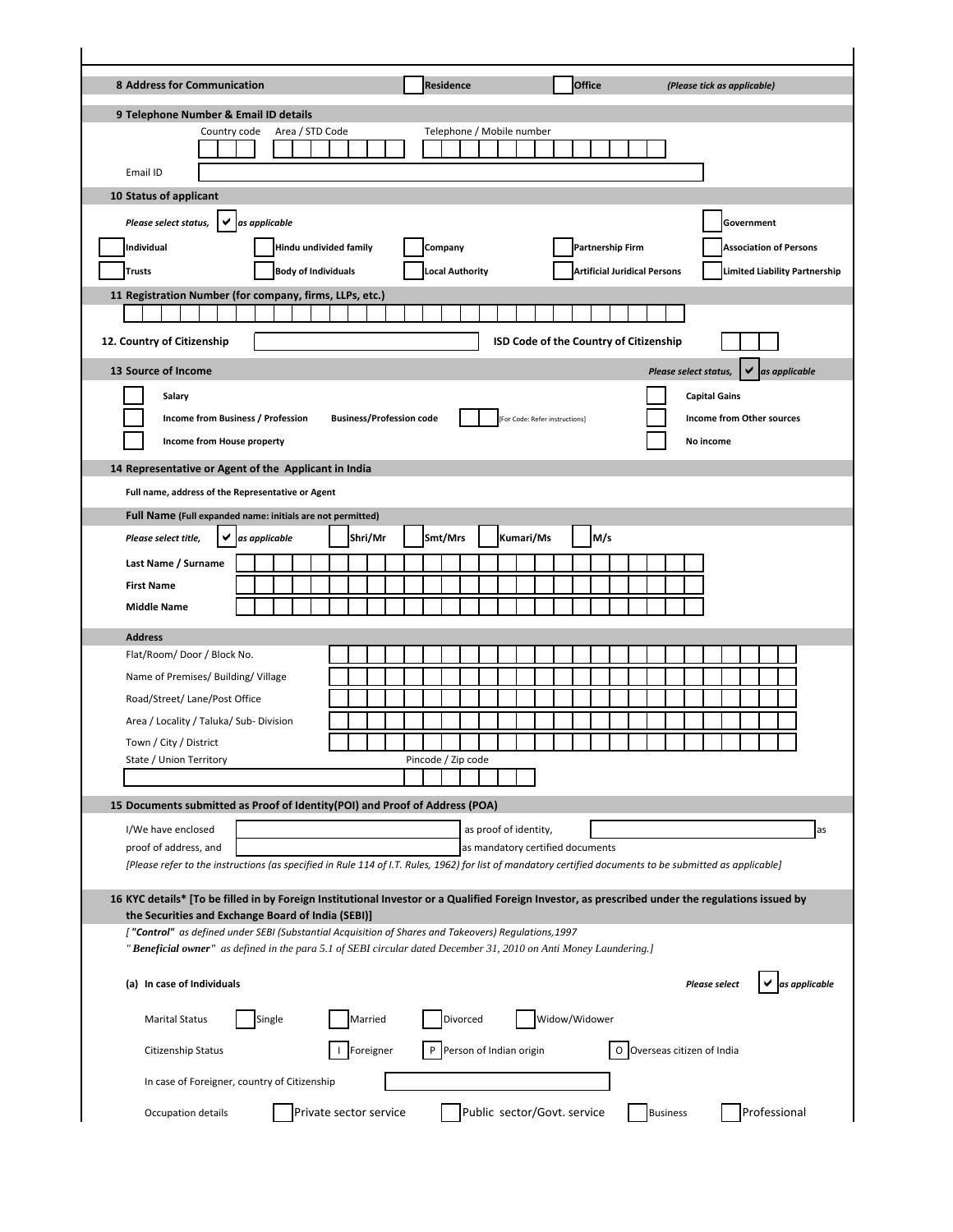| 8 Address for Communication                                                                                                                                                        |               |        |                            |  |                                 |  | <b>Residence</b>       |          |  |                                        |               | <b>Office</b>                       |     |  |  | (Please tick as applicable) |  |            |                                  |                                      |    |
|------------------------------------------------------------------------------------------------------------------------------------------------------------------------------------|---------------|--------|----------------------------|--|---------------------------------|--|------------------------|----------|--|----------------------------------------|---------------|-------------------------------------|-----|--|--|-----------------------------|--|------------|----------------------------------|--------------------------------------|----|
| 9 Telephone Number & Email ID details                                                                                                                                              |               |        |                            |  |                                 |  |                        |          |  |                                        |               |                                     |     |  |  |                             |  |            |                                  |                                      |    |
| Country code                                                                                                                                                                       |               |        | Area / STD Code            |  |                                 |  |                        |          |  | Telephone / Mobile number              |               |                                     |     |  |  |                             |  |            |                                  |                                      |    |
| Email ID                                                                                                                                                                           |               |        |                            |  |                                 |  |                        |          |  |                                        |               |                                     |     |  |  |                             |  |            |                                  |                                      |    |
| 10 Status of applicant                                                                                                                                                             |               |        |                            |  |                                 |  |                        |          |  |                                        |               |                                     |     |  |  |                             |  |            |                                  |                                      |    |
| Please select status,                                                                                                                                                              | as applicable |        |                            |  |                                 |  |                        |          |  |                                        |               |                                     |     |  |  |                             |  | Government |                                  |                                      |    |
| Individual                                                                                                                                                                         |               |        | Hindu undivided family     |  |                                 |  | Company                |          |  |                                        |               | <b>Partnership Firm</b>             |     |  |  |                             |  |            |                                  | <b>Association of Persons</b>        |    |
| <b>Trusts</b>                                                                                                                                                                      |               |        | <b>Body of Individuals</b> |  |                                 |  | <b>Local Authority</b> |          |  |                                        |               | <b>Artificial Juridical Persons</b> |     |  |  |                             |  |            |                                  | <b>Limited Liability Partnership</b> |    |
| 11 Registration Number (for company, firms, LLPs, etc.)                                                                                                                            |               |        |                            |  |                                 |  |                        |          |  |                                        |               |                                     |     |  |  |                             |  |            |                                  |                                      |    |
|                                                                                                                                                                                    |               |        |                            |  |                                 |  |                        |          |  |                                        |               |                                     |     |  |  |                             |  |            |                                  |                                      |    |
| 12. Country of Citizenship                                                                                                                                                         |               |        |                            |  |                                 |  |                        |          |  | ISD Code of the Country of Citizenship |               |                                     |     |  |  |                             |  |            |                                  |                                      |    |
| 13 Source of Income                                                                                                                                                                |               |        |                            |  |                                 |  |                        |          |  |                                        |               |                                     |     |  |  | Please select status,       |  |            |                                  | as applicable                        |    |
| Salary                                                                                                                                                                             |               |        |                            |  |                                 |  |                        |          |  |                                        |               |                                     |     |  |  | <b>Capital Gains</b>        |  |            |                                  |                                      |    |
| <b>Income from Business / Profession</b>                                                                                                                                           |               |        |                            |  | <b>Business/Profession code</b> |  |                        |          |  | [For Code: Refer instructions]         |               |                                     |     |  |  |                             |  |            | <b>Income from Other sources</b> |                                      |    |
| Income from House property                                                                                                                                                         |               |        |                            |  |                                 |  |                        |          |  |                                        |               |                                     |     |  |  | No income                   |  |            |                                  |                                      |    |
| 14 Representative or Agent of the Applicant in India                                                                                                                               |               |        |                            |  |                                 |  |                        |          |  |                                        |               |                                     |     |  |  |                             |  |            |                                  |                                      |    |
| Full name, address of the Representative or Agent                                                                                                                                  |               |        |                            |  |                                 |  |                        |          |  |                                        |               |                                     |     |  |  |                             |  |            |                                  |                                      |    |
| Full Name (Full expanded name: initials are not permitted)                                                                                                                         |               |        |                            |  |                                 |  |                        |          |  |                                        |               |                                     |     |  |  |                             |  |            |                                  |                                      |    |
| Please select title,                                                                                                                                                               | as applicable |        |                            |  | Shri/Mr                         |  | Smt/Mrs                |          |  | Kumari/Ms                              |               |                                     | M/s |  |  |                             |  |            |                                  |                                      |    |
| Last Name / Surname                                                                                                                                                                |               |        |                            |  |                                 |  |                        |          |  |                                        |               |                                     |     |  |  |                             |  |            |                                  |                                      |    |
| <b>First Name</b>                                                                                                                                                                  |               |        |                            |  |                                 |  |                        |          |  |                                        |               |                                     |     |  |  |                             |  |            |                                  |                                      |    |
| <b>Middle Name</b>                                                                                                                                                                 |               |        |                            |  |                                 |  |                        |          |  |                                        |               |                                     |     |  |  |                             |  |            |                                  |                                      |    |
| <b>Address</b>                                                                                                                                                                     |               |        |                            |  |                                 |  |                        |          |  |                                        |               |                                     |     |  |  |                             |  |            |                                  |                                      |    |
| Flat/Room/Door/Block No.                                                                                                                                                           |               |        |                            |  |                                 |  |                        |          |  |                                        |               |                                     |     |  |  |                             |  |            |                                  |                                      |    |
| Name of Premises/ Building/ Village                                                                                                                                                |               |        |                            |  |                                 |  |                        |          |  |                                        |               |                                     |     |  |  |                             |  |            |                                  |                                      |    |
| Road/Street/ Lane/Post Office                                                                                                                                                      |               |        |                            |  |                                 |  |                        |          |  |                                        |               |                                     |     |  |  |                             |  |            |                                  |                                      |    |
| Area / Locality / Taluka/ Sub- Division<br>Town / City / District                                                                                                                  |               |        |                            |  |                                 |  |                        |          |  |                                        |               |                                     |     |  |  |                             |  |            |                                  |                                      |    |
| State / Union Territory                                                                                                                                                            |               |        |                            |  |                                 |  | Pincode / Zip code     |          |  |                                        |               |                                     |     |  |  |                             |  |            |                                  |                                      |    |
|                                                                                                                                                                                    |               |        |                            |  |                                 |  |                        |          |  |                                        |               |                                     |     |  |  |                             |  |            |                                  |                                      |    |
| 15 Documents submitted as Proof of Identity(POI) and Proof of Address (POA)                                                                                                        |               |        |                            |  |                                 |  |                        |          |  |                                        |               |                                     |     |  |  |                             |  |            |                                  |                                      |    |
| I/We have enclosed                                                                                                                                                                 |               |        |                            |  |                                 |  |                        |          |  | as proof of identity,                  |               |                                     |     |  |  |                             |  |            |                                  |                                      | as |
| proof of address, and<br>[Please refer to the instructions (as specified in Rule 114 of I.T. Rules, 1962) for list of mandatory certified documents to be submitted as applicable] |               |        |                            |  |                                 |  |                        |          |  | as mandatory certified documents       |               |                                     |     |  |  |                             |  |            |                                  |                                      |    |
|                                                                                                                                                                                    |               |        |                            |  |                                 |  |                        |          |  |                                        |               |                                     |     |  |  |                             |  |            |                                  |                                      |    |
| 16 KYC details* [To be filled in by Foreign Institutional Investor or a Qualified Foreign Investor, as prescribed under the regulations issued by                                  |               |        |                            |  |                                 |  |                        |          |  |                                        |               |                                     |     |  |  |                             |  |            |                                  |                                      |    |
| the Securities and Exchange Board of India (SEBI)]<br>["Control" as defined under SEBI (Substantial Acquisition of Shares and Takeovers) Regulations, 1997                         |               |        |                            |  |                                 |  |                        |          |  |                                        |               |                                     |     |  |  |                             |  |            |                                  |                                      |    |
| "Beneficial owner" as defined in the para 5.1 of SEBI circular dated December 31, 2010 on Anti Money Laundering.]                                                                  |               |        |                            |  |                                 |  |                        |          |  |                                        |               |                                     |     |  |  |                             |  |            |                                  |                                      |    |
| (a) In case of Individuals                                                                                                                                                         |               |        |                            |  |                                 |  |                        |          |  |                                        |               |                                     |     |  |  | <b>Please select</b>        |  |            |                                  | as applicable                        |    |
| <b>Marital Status</b>                                                                                                                                                              |               | Single |                            |  | Married                         |  |                        | Divorced |  |                                        | Widow/Widower |                                     |     |  |  |                             |  |            |                                  |                                      |    |
|                                                                                                                                                                                    |               |        |                            |  |                                 |  |                        |          |  |                                        |               |                                     |     |  |  |                             |  |            |                                  |                                      |    |
| Citizenship Status                                                                                                                                                                 |               |        |                            |  | Foreigner                       |  |                        |          |  | Person of Indian origin                |               |                                     |     |  |  | O Overseas citizen of India |  |            |                                  |                                      |    |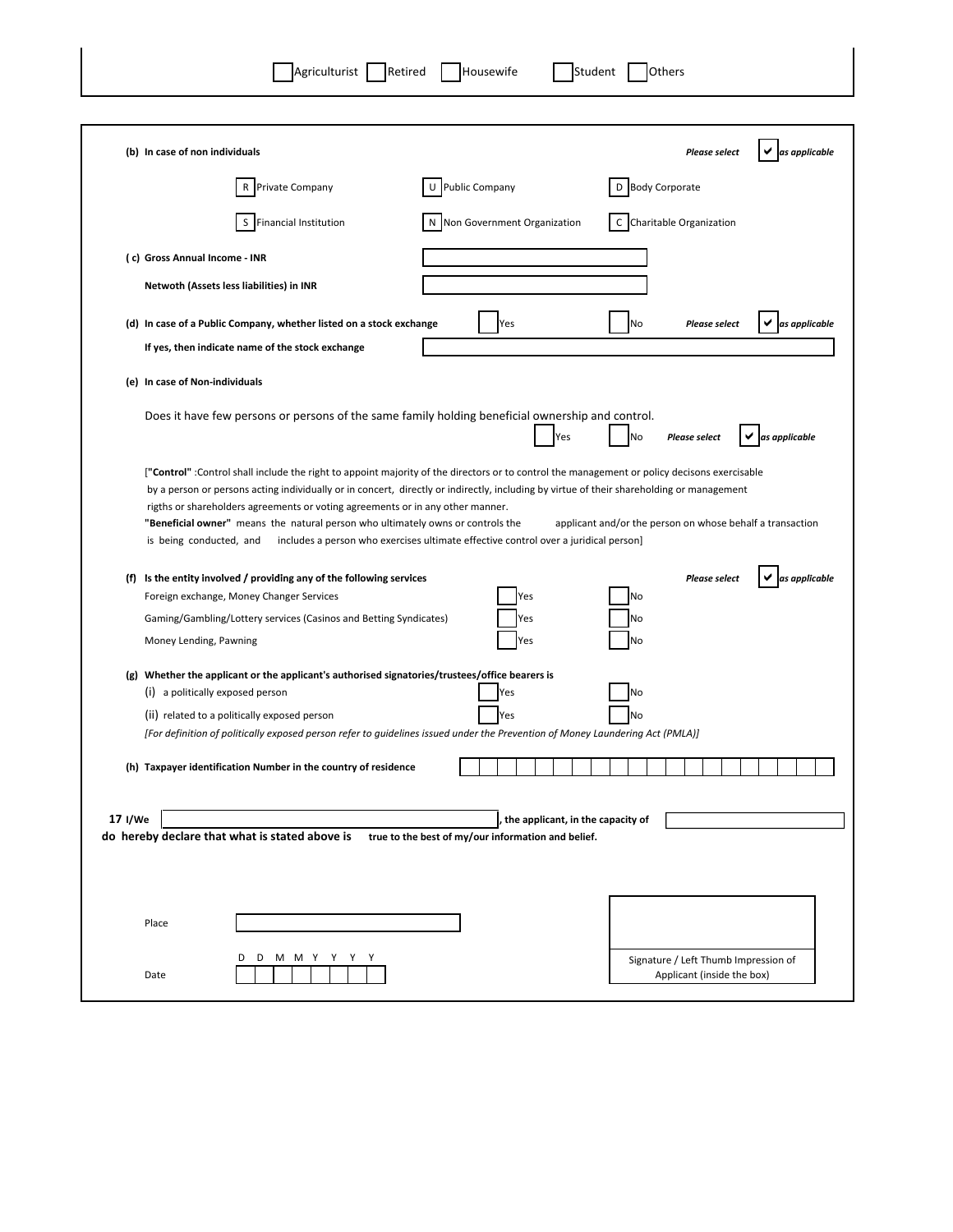| Agriculturist Retired                                                                                                                                                                                                                                                                                                                                                                                                                                                                     | Student<br>Housewife                                                                | Others                                                    |                                       |
|-------------------------------------------------------------------------------------------------------------------------------------------------------------------------------------------------------------------------------------------------------------------------------------------------------------------------------------------------------------------------------------------------------------------------------------------------------------------------------------------|-------------------------------------------------------------------------------------|-----------------------------------------------------------|---------------------------------------|
|                                                                                                                                                                                                                                                                                                                                                                                                                                                                                           |                                                                                     |                                                           |                                       |
| (b) In case of non individuals                                                                                                                                                                                                                                                                                                                                                                                                                                                            |                                                                                     |                                                           | <b>Please select</b><br>as applicable |
| Private Company                                                                                                                                                                                                                                                                                                                                                                                                                                                                           | <b>Public Company</b><br>U                                                          | D Body Corporate                                          |                                       |
| S Financial Institution                                                                                                                                                                                                                                                                                                                                                                                                                                                                   | N Non Government Organization                                                       | C Charitable Organization                                 |                                       |
| (c) Gross Annual Income - INR                                                                                                                                                                                                                                                                                                                                                                                                                                                             |                                                                                     |                                                           |                                       |
| Netwoth (Assets less liabilities) in INR                                                                                                                                                                                                                                                                                                                                                                                                                                                  |                                                                                     |                                                           |                                       |
| (d) In case of a Public Company, whether listed on a stock exchange<br>If yes, then indicate name of the stock exchange                                                                                                                                                                                                                                                                                                                                                                   | Yes                                                                                 | No                                                        | <b>Please select</b><br>as applicable |
| (e) In case of Non-individuals                                                                                                                                                                                                                                                                                                                                                                                                                                                            |                                                                                     |                                                           |                                       |
| Does it have few persons or persons of the same family holding beneficial ownership and control.                                                                                                                                                                                                                                                                                                                                                                                          | Yes                                                                                 | No<br><b>Please select</b>                                | as applicable<br>✔                    |
| ["Control" :Control shall include the right to appoint majority of the directors or to control the management or policy decisons exercisable<br>by a person or persons acting individually or in concert, directly or indirectly, including by virtue of their shareholding or management<br>rigths or shareholders agreements or voting agreements or in any other manner.<br>"Beneficial owner" means the natural person who ultimately owns or controls the<br>is being conducted, and | includes a person who exercises ultimate effective control over a juridical person] | applicant and/or the person on whose behalf a transaction |                                       |
| (f) Is the entity involved / providing any of the following services<br>Foreign exchange, Money Changer Services<br>Gaming/Gambling/Lottery services (Casinos and Betting Syndicates)<br>Money Lending, Pawning                                                                                                                                                                                                                                                                           | Yes<br>Yes<br>Yes                                                                   | No<br>No<br>No                                            | <b>Please select</b><br>as applicable |
| (g) Whether the applicant or the applicant's authorised signatories/trustees/office bearers is<br>(i) a politically exposed person<br>(ii) related to a politically exposed person<br>[For definition of politically exposed person refer to guidelines issued under the Prevention of Money Laundering Act (PMLA)]                                                                                                                                                                       | Yes<br>Yes                                                                          | No<br>No                                                  |                                       |
| (h) Taxpayer identification Number in the country of residence                                                                                                                                                                                                                                                                                                                                                                                                                            |                                                                                     |                                                           |                                       |
| 17 I/We<br>do hereby declare that what is stated above is true to the best of my/our information and belief.                                                                                                                                                                                                                                                                                                                                                                              | the applicant, in the capacity of                                                   |                                                           |                                       |
| Place                                                                                                                                                                                                                                                                                                                                                                                                                                                                                     |                                                                                     |                                                           |                                       |
| M M Y Y Y<br>D<br>D<br>Y<br>Date                                                                                                                                                                                                                                                                                                                                                                                                                                                          |                                                                                     | Applicant (inside the box)                                | Signature / Left Thumb Impression of  |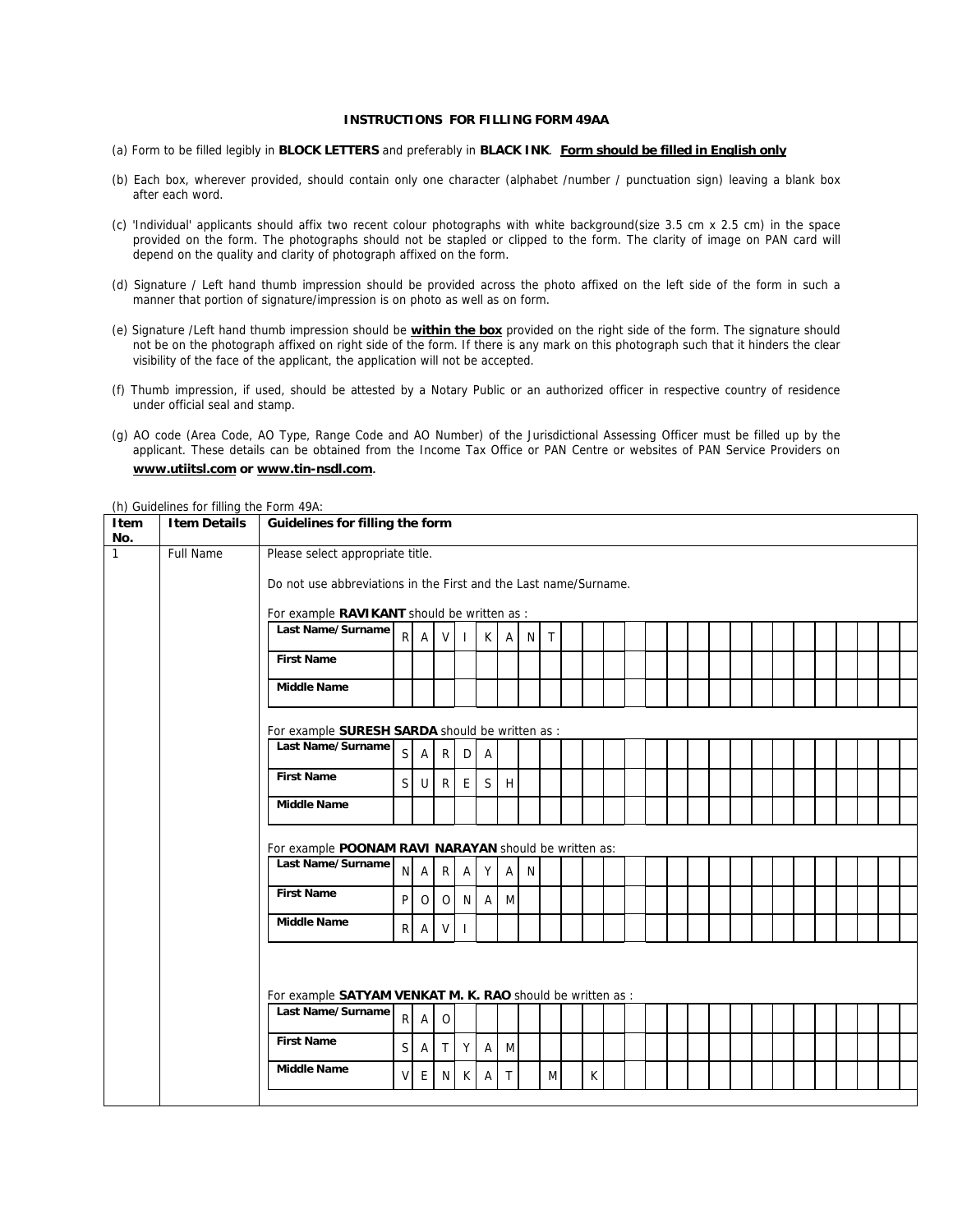## **INSTRUCTIONS FOR FILLING FORM 49AA**

- (a) Form to be filled legibly in **BLOCK LETTERS** and preferably in **BLACK INK**. **Form should be filled in English only**
- (b) Each box, wherever provided, should contain only one character (alphabet /number / punctuation sign) leaving a blank box after each word.
- (c) 'Individual' applicants should affix two recent colour photographs with white background(size 3.5 cm x 2.5 cm) in the space provided on the form. The photographs should not be stapled or clipped to the form. The clarity of image on PAN card will depend on the quality and clarity of photograph affixed on the form.
- (d) Signature / Left hand thumb impression should be provided across the photo affixed on the left side of the form in such a manner that portion of signature/impression is on photo as well as on form.
- (e) Signature /Left hand thumb impression should be **within the box** provided on the right side of the form. The signature should not be on the photograph affixed on right side of the form. If there is any mark on this photograph such that it hinders the clear visibility of the face of the applicant, the application will not be accepted.
- (f) Thumb impression, if used, should be attested by a Notary Public or an authorized officer in respective country of residence under official seal and stamp.
- (g) AO code (Area Code, AO Type, Range Code and AO Number) of the Jurisdictional Assessing Officer must be filled up by the applicant. These details can be obtained from the Income Tax Office or PAN Centre or websites of PAN Service Providers on **[www.utiitsl.com](http://www.utiitsl.com/) or [www.tin-nsdl.com](http://www.tin-nsdl.com/)**.

**Item No. Item Details Guidelines for filling the form** 1 Full Name Please select appropriate title. Do not use abbreviations in the First and the Last name/Surname. For example **RAVIKANT** should be written as Last Name/Surname **R** A V I K A N T **First Name Middle Name** For example **SURESH SARDA** should be written as : Last Name/Surname  $\begin{bmatrix} S & A & R \end{bmatrix}$   $\begin{bmatrix} R & D \end{bmatrix}$  A **First Name**  $\begin{bmatrix} S & U & R \end{bmatrix} E S H$ **Middle Name** For example **POONAM RAVI NARAYAN** should be written as: Last Name/Surname N A R A Y A N **First Name**  $\left[\begin{array}{ccc} p & 0 & 0 \end{array}\right] N \left[\begin{array}{ccc} A & N \end{array}\right]$ Middle Name R A V I For example **SATYAM VENKAT M. K. RAO** should be written as : Last Name/Surname **R A** O **First Name**  $\begin{bmatrix} S & A & T & Y & A & M \end{bmatrix}$ **Middle Name**  $V \in N$  K A T M K

(h) Guidelines for filling the Form 49A: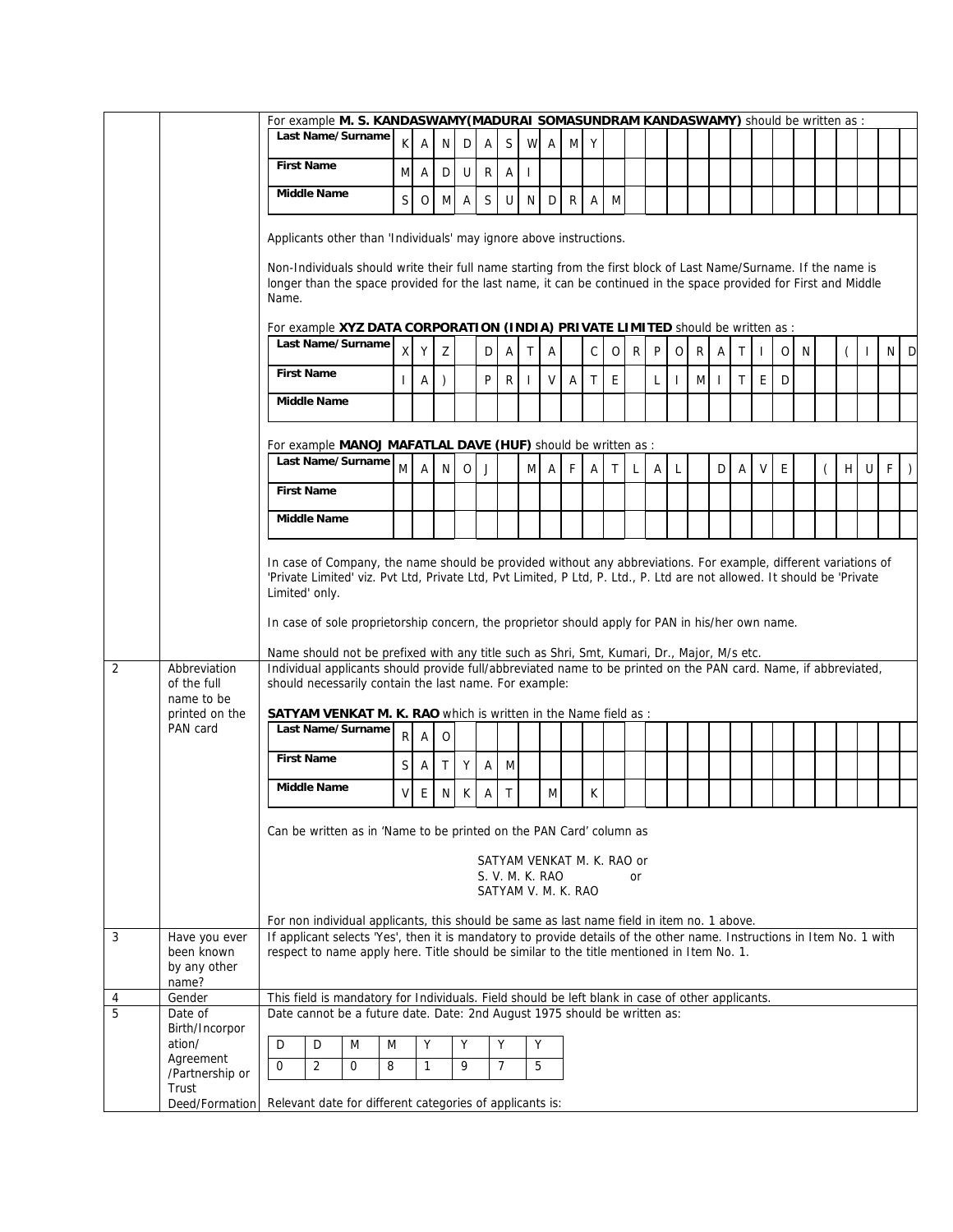|                |                                                      | For example M. S. KANDASWAMY (MADURAI SOMASUNDRAM KANDASWAMY) should be written as :                                                                                                                                                                                    |                                                                                                                                                                                                                                                                                                                   |              |              |                |              |                |                                        |              |              |              |             |              |   |              |              |   |   |              |   |   |   |        |   |         |
|----------------|------------------------------------------------------|-------------------------------------------------------------------------------------------------------------------------------------------------------------------------------------------------------------------------------------------------------------------------|-------------------------------------------------------------------------------------------------------------------------------------------------------------------------------------------------------------------------------------------------------------------------------------------------------------------|--------------|--------------|----------------|--------------|----------------|----------------------------------------|--------------|--------------|--------------|-------------|--------------|---|--------------|--------------|---|---|--------------|---|---|---|--------|---|---------|
|                |                                                      | Last Name/Surname                                                                                                                                                                                                                                                       | ΚI                                                                                                                                                                                                                                                                                                                | A            | N            |                | D A          | $\mathsf{S}$   | W A                                    |              | M            | Y            |             |              |   |              |              |   |   |              |   |   |   |        |   |         |
|                |                                                      | <b>First Name</b>                                                                                                                                                                                                                                                       |                                                                                                                                                                                                                                                                                                                   | M A          | D            | U              | R            | Α              | $\mathbf{I}$                           |              |              |              |             |              |   |              |              |   |   |              |   |   |   |        |   |         |
|                |                                                      | <b>Middle Name</b>                                                                                                                                                                                                                                                      | $\mathsf{S}$                                                                                                                                                                                                                                                                                                      | $\circ$      | M            | $\overline{A}$ | $\mathsf S$  | U              | N                                      | D            | R            | $\mathsf{A}$ | M           |              |   |              |              |   |   |              |   |   |   |        |   |         |
|                |                                                      | Applicants other than 'Individuals' may ignore above instructions.                                                                                                                                                                                                      |                                                                                                                                                                                                                                                                                                                   |              |              |                |              |                |                                        |              |              |              |             |              |   |              |              |   |   |              |   |   |   |        |   |         |
|                |                                                      | Non-Individuals should write their full name starting from the first block of Last Name/Surname. If the name is<br>longer than the space provided for the last name, it can be continued in the space provided for First and Middle<br>Name.                            |                                                                                                                                                                                                                                                                                                                   |              |              |                |              |                |                                        |              |              |              |             |              |   |              |              |   |   |              |   |   |   |        |   |         |
|                |                                                      | For example XYZ DATA CORPORATION (INDIA) PRIVATE LIMITED should be written as :                                                                                                                                                                                         |                                                                                                                                                                                                                                                                                                                   |              |              |                |              |                |                                        |              |              |              |             |              |   |              |              |   |   |              |   |   |   |        |   |         |
|                |                                                      | Last Name/Surname                                                                                                                                                                                                                                                       | $\mathsf{x}$                                                                                                                                                                                                                                                                                                      | Y            | Z            |                | D            | Α              | Τ                                      | A            |              | $\mathsf{C}$ | $\circ$     | R            | P | 0            | $\mathsf{R}$ | Α | Τ | $\mathbf{I}$ | 0 | N |   | -1     |   | N D     |
|                |                                                      | <b>First Name</b>                                                                                                                                                                                                                                                       |                                                                                                                                                                                                                                                                                                                   | A            | $\lambda$    |                | P            | R              | T                                      | V            | $\mathsf{A}$ | $\mathsf{T}$ | E           |              | L | $\mathbf{I}$ | M I          |   | T | E            | D |   |   |        |   |         |
|                |                                                      | <b>Middle Name</b>                                                                                                                                                                                                                                                      |                                                                                                                                                                                                                                                                                                                   |              |              |                |              |                |                                        |              |              |              |             |              |   |              |              |   |   |              |   |   |   |        |   |         |
|                |                                                      | For example MANOJ MAFATLAL DAVE (HUF) should be written as :                                                                                                                                                                                                            |                                                                                                                                                                                                                                                                                                                   |              |              |                |              |                |                                        |              |              |              |             |              |   |              |              |   |   |              |   |   |   |        |   |         |
|                |                                                      | Last Name/Surname                                                                                                                                                                                                                                                       | M                                                                                                                                                                                                                                                                                                                 | Α            | N            | $\mathsf{O}$   | J            |                | M                                      | $\mathsf{A}$ | F            | $\mathsf{A}$ | $\mathsf T$ | $\mathsf{L}$ | Α | <b>L</b>     |              | D | A | $\mathsf{V}$ | E |   | H | $\cup$ | F | $\big)$ |
|                |                                                      | <b>First Name</b>                                                                                                                                                                                                                                                       |                                                                                                                                                                                                                                                                                                                   |              |              |                |              |                |                                        |              |              |              |             |              |   |              |              |   |   |              |   |   |   |        |   |         |
|                |                                                      | <b>Middle Name</b>                                                                                                                                                                                                                                                      |                                                                                                                                                                                                                                                                                                                   |              |              |                |              |                |                                        |              |              |              |             |              |   |              |              |   |   |              |   |   |   |        |   |         |
|                |                                                      | In case of Company, the name should be provided without any abbreviations. For example, different variations of<br>'Private Limited' viz. Pvt Ltd, Private Ltd, Pvt Limited, P Ltd, P. Ltd., P. Ltd are not allowed. It should be 'Private<br>Limited' only.            |                                                                                                                                                                                                                                                                                                                   |              |              |                |              |                |                                        |              |              |              |             |              |   |              |              |   |   |              |   |   |   |        |   |         |
|                |                                                      | In case of sole proprietorship concern, the proprietor should apply for PAN in his/her own name.                                                                                                                                                                        |                                                                                                                                                                                                                                                                                                                   |              |              |                |              |                |                                        |              |              |              |             |              |   |              |              |   |   |              |   |   |   |        |   |         |
| 2              | Abbreviation<br>of the full                          | Name should not be prefixed with any title such as Shri, Smt, Kumari, Dr., Major, M/s etc.<br>Individual applicants should provide full/abbreviated name to be printed on the PAN card. Name, if abbreviated,<br>should necessarily contain the last name. For example: |                                                                                                                                                                                                                                                                                                                   |              |              |                |              |                |                                        |              |              |              |             |              |   |              |              |   |   |              |   |   |   |        |   |         |
|                | name to be<br>printed on the                         | <b>SATYAM VENKAT M. K. RAO</b> which is written in the Name field as :                                                                                                                                                                                                  |                                                                                                                                                                                                                                                                                                                   |              |              |                |              |                |                                        |              |              |              |             |              |   |              |              |   |   |              |   |   |   |        |   |         |
|                | PAN card                                             | Last Name/Surname                                                                                                                                                                                                                                                       | R                                                                                                                                                                                                                                                                                                                 | Α            | O            |                |              |                |                                        |              |              |              |             |              |   |              |              |   |   |              |   |   |   |        |   |         |
|                |                                                      | <b>First Name</b>                                                                                                                                                                                                                                                       | $\mathsf{S}$                                                                                                                                                                                                                                                                                                      | Α            | $\top$       | Y              | Α            | M              |                                        |              |              |              |             |              |   |              |              |   |   |              |   |   |   |        |   |         |
|                |                                                      | <b>Middle Name</b>                                                                                                                                                                                                                                                      | V                                                                                                                                                                                                                                                                                                                 | E            | $\mathsf{N}$ | $\mathsf K$    | $\mathsf{A}$ | $\top$         |                                        | M            |              | K            |             |              |   |              |              |   |   |              |   |   |   |        |   |         |
|                |                                                      | Can be written as in 'Name to be printed on the PAN Card' column as                                                                                                                                                                                                     |                                                                                                                                                                                                                                                                                                                   |              |              |                |              |                |                                        |              |              |              |             |              |   |              |              |   |   |              |   |   |   |        |   |         |
|                |                                                      |                                                                                                                                                                                                                                                                         |                                                                                                                                                                                                                                                                                                                   |              |              |                |              |                | SATYAM VENKAT M. K. RAO or             |              |              |              |             |              |   |              |              |   |   |              |   |   |   |        |   |         |
|                |                                                      |                                                                                                                                                                                                                                                                         |                                                                                                                                                                                                                                                                                                                   |              |              |                |              |                | S. V. M. K. RAO<br>SATYAM V. M. K. RAO |              |              |              |             | <b>or</b>    |   |              |              |   |   |              |   |   |   |        |   |         |
|                |                                                      |                                                                                                                                                                                                                                                                         |                                                                                                                                                                                                                                                                                                                   |              |              |                |              |                |                                        |              |              |              |             |              |   |              |              |   |   |              |   |   |   |        |   |         |
| 3              | Have you ever<br>been known<br>by any other<br>name? |                                                                                                                                                                                                                                                                         | For non individual applicants, this should be same as last name field in item no. 1 above.<br>If applicant selects 'Yes', then it is mandatory to provide details of the other name. Instructions in Item No. 1 with<br>respect to name apply here. Title should be similar to the title mentioned in Item No. 1. |              |              |                |              |                |                                        |              |              |              |             |              |   |              |              |   |   |              |   |   |   |        |   |         |
| 4              | Gender                                               | This field is mandatory for Individuals. Field should be left blank in case of other applicants.                                                                                                                                                                        |                                                                                                                                                                                                                                                                                                                   |              |              |                |              |                |                                        |              |              |              |             |              |   |              |              |   |   |              |   |   |   |        |   |         |
| $\overline{5}$ | Date of<br>Birth/Incorpor                            | Date cannot be a future date. Date: 2nd August 1975 should be written as:                                                                                                                                                                                               |                                                                                                                                                                                                                                                                                                                   |              |              |                |              |                |                                        |              |              |              |             |              |   |              |              |   |   |              |   |   |   |        |   |         |
|                | ation/<br>Agreement                                  | D<br>D<br>M<br>M                                                                                                                                                                                                                                                        |                                                                                                                                                                                                                                                                                                                   | Υ            |              | Y              |              | Y              | Υ                                      |              |              |              |             |              |   |              |              |   |   |              |   |   |   |        |   |         |
|                | /Partnership or<br>Trust                             | $\mathbf 0$<br>2<br>8<br>0                                                                                                                                                                                                                                              |                                                                                                                                                                                                                                                                                                                   | $\mathbf{1}$ |              | 9              |              | $\overline{7}$ | 5                                      |              |              |              |             |              |   |              |              |   |   |              |   |   |   |        |   |         |
|                |                                                      | Deed/Formation Relevant date for different categories of applicants is:                                                                                                                                                                                                 |                                                                                                                                                                                                                                                                                                                   |              |              |                |              |                |                                        |              |              |              |             |              |   |              |              |   |   |              |   |   |   |        |   |         |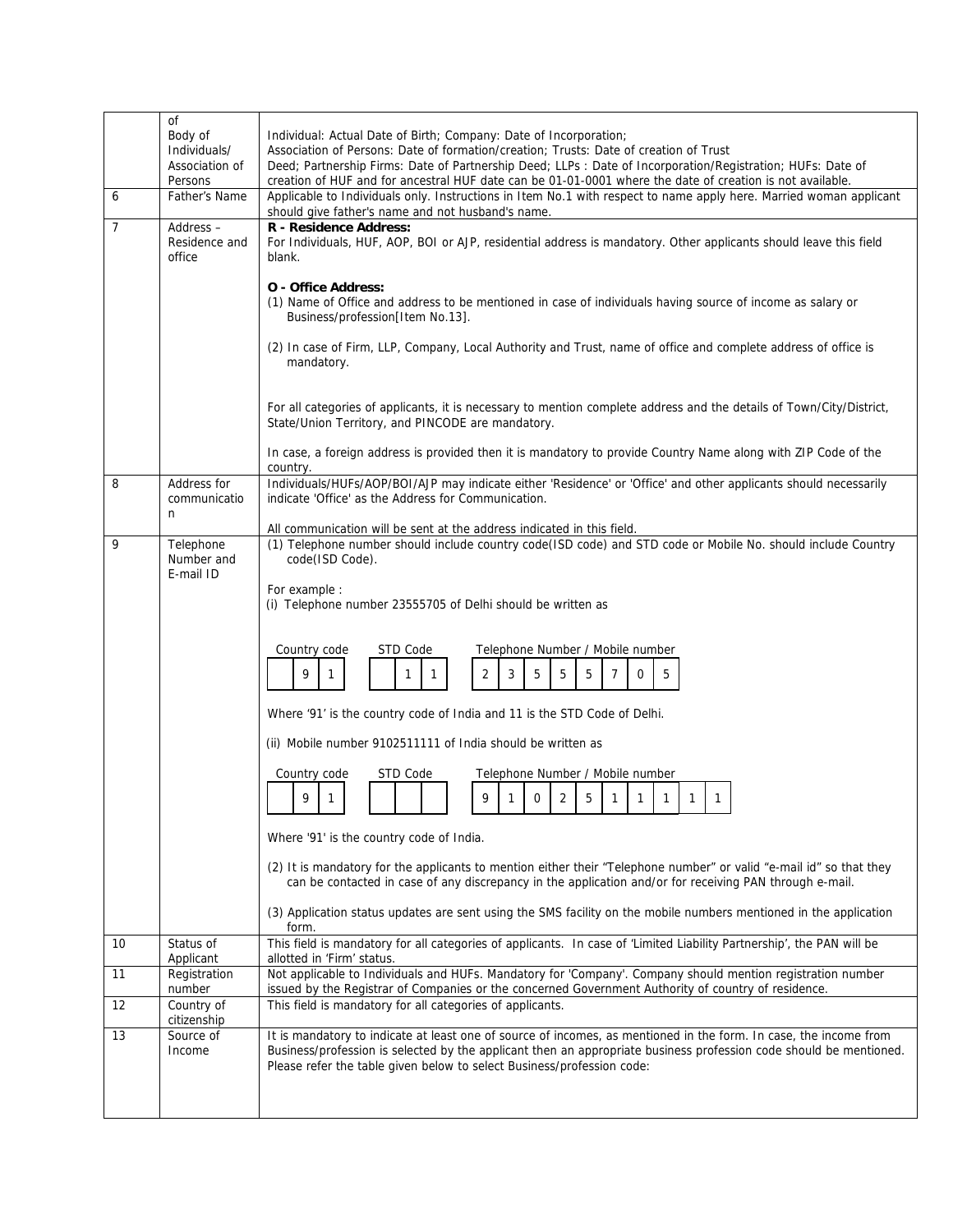|    | 0f<br>Body of<br>Individuals/        | Individual: Actual Date of Birth; Company: Date of Incorporation;<br>Association of Persons: Date of formation/creation; Trusts: Date of creation of Trust                                                                                                                                                                                                |
|----|--------------------------------------|-----------------------------------------------------------------------------------------------------------------------------------------------------------------------------------------------------------------------------------------------------------------------------------------------------------------------------------------------------------|
|    | Association of<br>Persons            | Deed; Partnership Firms: Date of Partnership Deed; LLPs : Date of Incorporation/Registration; HUFs: Date of<br>creation of HUF and for ancestral HUF date can be 01-01-0001 where the date of creation is not available.                                                                                                                                  |
| 6  | Father's Name                        | Applicable to Individuals only. Instructions in Item No.1 with respect to name apply here. Married woman applicant<br>should give father's name and not husband's name.                                                                                                                                                                                   |
| 7  | Address-<br>Residence and<br>office  | R - Residence Address:<br>For Individuals, HUF, AOP, BOI or AJP, residential address is mandatory. Other applicants should leave this field<br>blank.                                                                                                                                                                                                     |
|    |                                      | <b>O</b> - Office Address:<br>(1) Name of Office and address to be mentioned in case of individuals having source of income as salary or<br>Business/profession[Item No.13].<br>(2) In case of Firm, LLP, Company, Local Authority and Trust, name of office and complete address of office is<br>mandatory.                                              |
|    |                                      | For all categories of applicants, it is necessary to mention complete address and the details of Town/City/District,<br>State/Union Territory, and PINCODE are mandatory.                                                                                                                                                                                 |
|    |                                      | In case, a foreign address is provided then it is mandatory to provide Country Name along with ZIP Code of the<br>country.                                                                                                                                                                                                                                |
| 8  | Address for<br>communicatio<br>n     | Individuals/HUFs/AOP/BOI/AJP may indicate either 'Residence' or 'Office' and other applicants should necessarily<br>indicate 'Office' as the Address for Communication.                                                                                                                                                                                   |
| 9  | Telephone<br>Number and<br>E-mail ID | All communication will be sent at the address indicated in this field.<br>(1) Telephone number should include country code(ISD code) and STD code or Mobile No. should include Country<br>code(ISD Code).<br>For example :<br>(i) Telephone number 23555705 of Delhi should be written as<br>Country code<br>STD Code<br>Telephone Number / Mobile number |
|    |                                      | $\overline{2}$<br>5<br>9<br>3<br>5<br>5<br>5<br>$\overline{7}$<br>0<br>1<br>1<br>1                                                                                                                                                                                                                                                                        |
|    |                                      | Where '91' is the country code of India and 11 is the STD Code of Delhi.                                                                                                                                                                                                                                                                                  |
|    |                                      | (ii) Mobile number 9102511111 of India should be written as                                                                                                                                                                                                                                                                                               |
|    |                                      | STD Code<br>Telephone Number / Mobile number<br>Country code                                                                                                                                                                                                                                                                                              |
|    |                                      | 9<br>5<br>9<br>2<br>0<br>$\mathbf{1}$<br>$\mathbf{1}$<br>1<br>1<br>1<br>1<br>1                                                                                                                                                                                                                                                                            |
|    |                                      | Where '91' is the country code of India.                                                                                                                                                                                                                                                                                                                  |
|    |                                      | (2) It is mandatory for the applicants to mention either their "Telephone number" or valid "e-mail id" so that they<br>can be contacted in case of any discrepancy in the application and/or for receiving PAN through e-mail.                                                                                                                            |
|    |                                      | (3) Application status updates are sent using the SMS facility on the mobile numbers mentioned in the application<br>form.                                                                                                                                                                                                                                |
| 10 | Status of<br>Applicant               | This field is mandatory for all categories of applicants. In case of 'Limited Liability Partnership', the PAN will be<br>allotted in 'Firm' status.                                                                                                                                                                                                       |
| 11 | Registration<br>number               | Not applicable to Individuals and HUFs. Mandatory for 'Company'. Company should mention registration number<br>issued by the Registrar of Companies or the concerned Government Authority of country of residence.                                                                                                                                        |
| 12 | Country of<br>citizenship            | This field is mandatory for all categories of applicants.                                                                                                                                                                                                                                                                                                 |
| 13 | Source of<br>Income                  | It is mandatory to indicate at least one of source of incomes, as mentioned in the form. In case, the income from<br>Business/profession is selected by the applicant then an appropriate business profession code should be mentioned.<br>Please refer the table given below to select Business/profession code:                                         |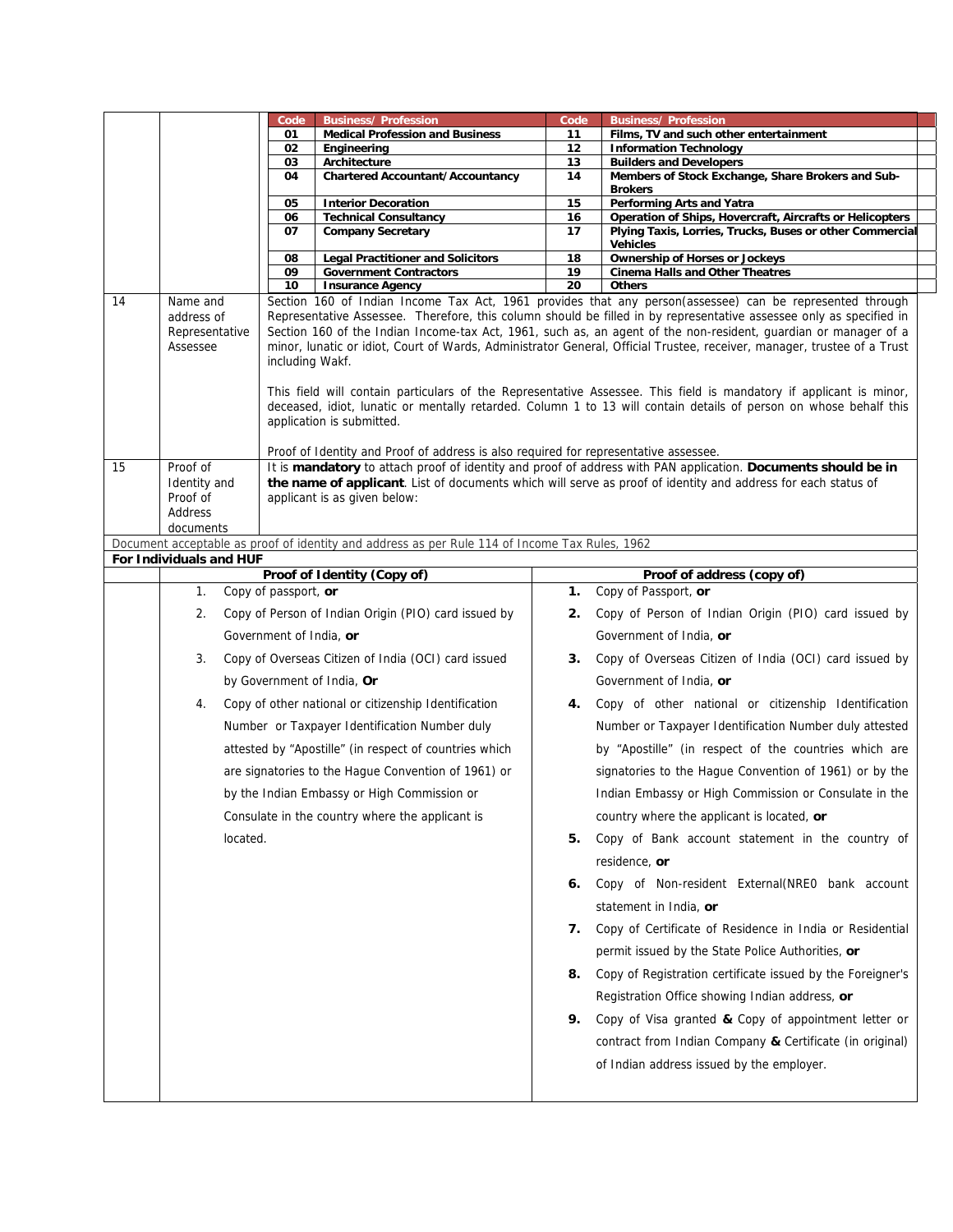|    |                                                      | Code                    | <b>Business/ Profession</b>                                                                    | Code | <b>Business/ Profession</b>                                                                                                                                                                                                                                                                                                                                                                                                                                                                                                                                                                         |
|----|------------------------------------------------------|-------------------------|------------------------------------------------------------------------------------------------|------|-----------------------------------------------------------------------------------------------------------------------------------------------------------------------------------------------------------------------------------------------------------------------------------------------------------------------------------------------------------------------------------------------------------------------------------------------------------------------------------------------------------------------------------------------------------------------------------------------------|
|    |                                                      | 01                      | <b>Medical Profession and Business</b>                                                         | 11   | Films, TV and such other entertainment                                                                                                                                                                                                                                                                                                                                                                                                                                                                                                                                                              |
|    |                                                      | 02                      | Engineering                                                                                    | 12   | <b>Information Technology</b>                                                                                                                                                                                                                                                                                                                                                                                                                                                                                                                                                                       |
|    |                                                      | 03                      | Architecture                                                                                   | 13   | <b>Builders and Developers</b>                                                                                                                                                                                                                                                                                                                                                                                                                                                                                                                                                                      |
|    |                                                      | 04                      | <b>Chartered Accountant/Accountancy</b>                                                        | 14   | Members of Stock Exchange, Share Brokers and Sub-<br><b>Brokers</b>                                                                                                                                                                                                                                                                                                                                                                                                                                                                                                                                 |
|    |                                                      | 05                      | <b>Interior Decoration</b>                                                                     | 15   | Performing Arts and Yatra                                                                                                                                                                                                                                                                                                                                                                                                                                                                                                                                                                           |
|    |                                                      | 06                      | <b>Technical Consultancy</b>                                                                   | 16   | Operation of Ships, Hovercraft, Aircrafts or Helicopters                                                                                                                                                                                                                                                                                                                                                                                                                                                                                                                                            |
|    |                                                      | 07                      | <b>Company Secretary</b>                                                                       | 17   | Plying Taxis, Lorries, Trucks, Buses or other Commercial<br><b>Vehicles</b>                                                                                                                                                                                                                                                                                                                                                                                                                                                                                                                         |
|    |                                                      | 08                      | <b>Legal Practitioner and Solicitors</b>                                                       | 18   | <b>Ownership of Horses or Jockeys</b>                                                                                                                                                                                                                                                                                                                                                                                                                                                                                                                                                               |
|    |                                                      | 09                      | <b>Government Contractors</b>                                                                  | 19   | <b>Cinema Halls and Other Theatres</b>                                                                                                                                                                                                                                                                                                                                                                                                                                                                                                                                                              |
|    |                                                      | 10                      | <b>Insurance Agency</b>                                                                        | 20   | <b>Others</b>                                                                                                                                                                                                                                                                                                                                                                                                                                                                                                                                                                                       |
| 14 | Name and<br>address of<br>Representative<br>Assessee | including Wakf.         |                                                                                                |      | Section 160 of Indian Income Tax Act, 1961 provides that any person(assessee) can be represented through<br>Representative Assessee. Therefore, this column should be filled in by representative assessee only as specified in<br>Section 160 of the Indian Income-tax Act, 1961, such as, an agent of the non-resident, guardian or manager of a<br>minor, lunatic or idiot, Court of Wards, Administrator General, Official Trustee, receiver, manager, trustee of a Trust<br>This field will contain particulars of the Representative Assessee. This field is mandatory if applicant is minor, |
|    |                                                      |                         | application is submitted.                                                                      |      | deceased, idiot, lunatic or mentally retarded. Column 1 to 13 will contain details of person on whose behalf this                                                                                                                                                                                                                                                                                                                                                                                                                                                                                   |
|    |                                                      |                         |                                                                                                |      |                                                                                                                                                                                                                                                                                                                                                                                                                                                                                                                                                                                                     |
| 15 | Proof of                                             |                         | Proof of Identity and Proof of address is also required for representative assessee.           |      | It is mandatory to attach proof of identity and proof of address with PAN application. Documents should be in                                                                                                                                                                                                                                                                                                                                                                                                                                                                                       |
|    | Identity and                                         |                         |                                                                                                |      | the name of applicant. List of documents which will serve as proof of identity and address for each status of                                                                                                                                                                                                                                                                                                                                                                                                                                                                                       |
|    | Proof of                                             |                         | applicant is as given below:                                                                   |      |                                                                                                                                                                                                                                                                                                                                                                                                                                                                                                                                                                                                     |
|    | <b>Address</b>                                       |                         |                                                                                                |      |                                                                                                                                                                                                                                                                                                                                                                                                                                                                                                                                                                                                     |
|    | documents                                            |                         |                                                                                                |      |                                                                                                                                                                                                                                                                                                                                                                                                                                                                                                                                                                                                     |
|    | For Individuals and HUF                              |                         | Document acceptable as proof of identity and address as per Rule 114 of Income Tax Rules, 1962 |      |                                                                                                                                                                                                                                                                                                                                                                                                                                                                                                                                                                                                     |
|    |                                                      |                         | Proof of Identity (Copy of)                                                                    |      | Proof of address (copy of)                                                                                                                                                                                                                                                                                                                                                                                                                                                                                                                                                                          |
|    | 1.                                                   | Copy of passport, or    |                                                                                                | 1.   | Copy of Passport, or                                                                                                                                                                                                                                                                                                                                                                                                                                                                                                                                                                                |
|    | 2.                                                   |                         | Copy of Person of Indian Origin (PIO) card issued by                                           | 2.   | Copy of Person of Indian Origin (PIO) card issued by                                                                                                                                                                                                                                                                                                                                                                                                                                                                                                                                                |
|    |                                                      | Government of India, or |                                                                                                |      | Government of India, or                                                                                                                                                                                                                                                                                                                                                                                                                                                                                                                                                                             |
|    | 3.                                                   |                         | Copy of Overseas Citizen of India (OCI) card issued                                            | 3.   | Copy of Overseas Citizen of India (OCI) card issued by                                                                                                                                                                                                                                                                                                                                                                                                                                                                                                                                              |
|    |                                                      |                         | by Government of India, Or                                                                     |      | Government of India, or                                                                                                                                                                                                                                                                                                                                                                                                                                                                                                                                                                             |
|    | 4.                                                   |                         | Copy of other national or citizenship Identification                                           | 4.   | Copy of other national or citizenship Identification                                                                                                                                                                                                                                                                                                                                                                                                                                                                                                                                                |
|    |                                                      |                         | Number or Taxpayer Identification Number duly                                                  |      | Number or Taxpayer Identification Number duly attested                                                                                                                                                                                                                                                                                                                                                                                                                                                                                                                                              |
|    |                                                      |                         | attested by "Apostille" (in respect of countries which                                         |      | by "Apostille" (in respect of the countries which are                                                                                                                                                                                                                                                                                                                                                                                                                                                                                                                                               |
|    |                                                      |                         | are signatories to the Hague Convention of 1961) or                                            |      | signatories to the Hague Convention of 1961) or by the                                                                                                                                                                                                                                                                                                                                                                                                                                                                                                                                              |
|    |                                                      |                         | by the Indian Embassy or High Commission or                                                    |      | Indian Embassy or High Commission or Consulate in the                                                                                                                                                                                                                                                                                                                                                                                                                                                                                                                                               |
|    |                                                      |                         | Consulate in the country where the applicant is                                                |      | country where the applicant is located, or                                                                                                                                                                                                                                                                                                                                                                                                                                                                                                                                                          |
|    | located.                                             |                         |                                                                                                | 5.   | Copy of Bank account statement in the country of<br>residence, or                                                                                                                                                                                                                                                                                                                                                                                                                                                                                                                                   |
|    |                                                      |                         |                                                                                                | 6.   | Copy of Non-resident External(NREO bank account<br>statement in India, or                                                                                                                                                                                                                                                                                                                                                                                                                                                                                                                           |
|    |                                                      |                         |                                                                                                | 7.   | Copy of Certificate of Residence in India or Residential<br>permit issued by the State Police Authorities, or                                                                                                                                                                                                                                                                                                                                                                                                                                                                                       |
|    |                                                      |                         |                                                                                                | 8.   | Copy of Registration certificate issued by the Foreigner's                                                                                                                                                                                                                                                                                                                                                                                                                                                                                                                                          |
|    |                                                      |                         |                                                                                                |      | Registration Office showing Indian address, or                                                                                                                                                                                                                                                                                                                                                                                                                                                                                                                                                      |
|    |                                                      |                         |                                                                                                | 9.   | Copy of Visa granted & Copy of appointment letter or                                                                                                                                                                                                                                                                                                                                                                                                                                                                                                                                                |
|    |                                                      |                         |                                                                                                |      | contract from Indian Company & Certificate (in original)                                                                                                                                                                                                                                                                                                                                                                                                                                                                                                                                            |
|    |                                                      |                         |                                                                                                |      | of Indian address issued by the employer.                                                                                                                                                                                                                                                                                                                                                                                                                                                                                                                                                           |
|    |                                                      |                         |                                                                                                |      |                                                                                                                                                                                                                                                                                                                                                                                                                                                                                                                                                                                                     |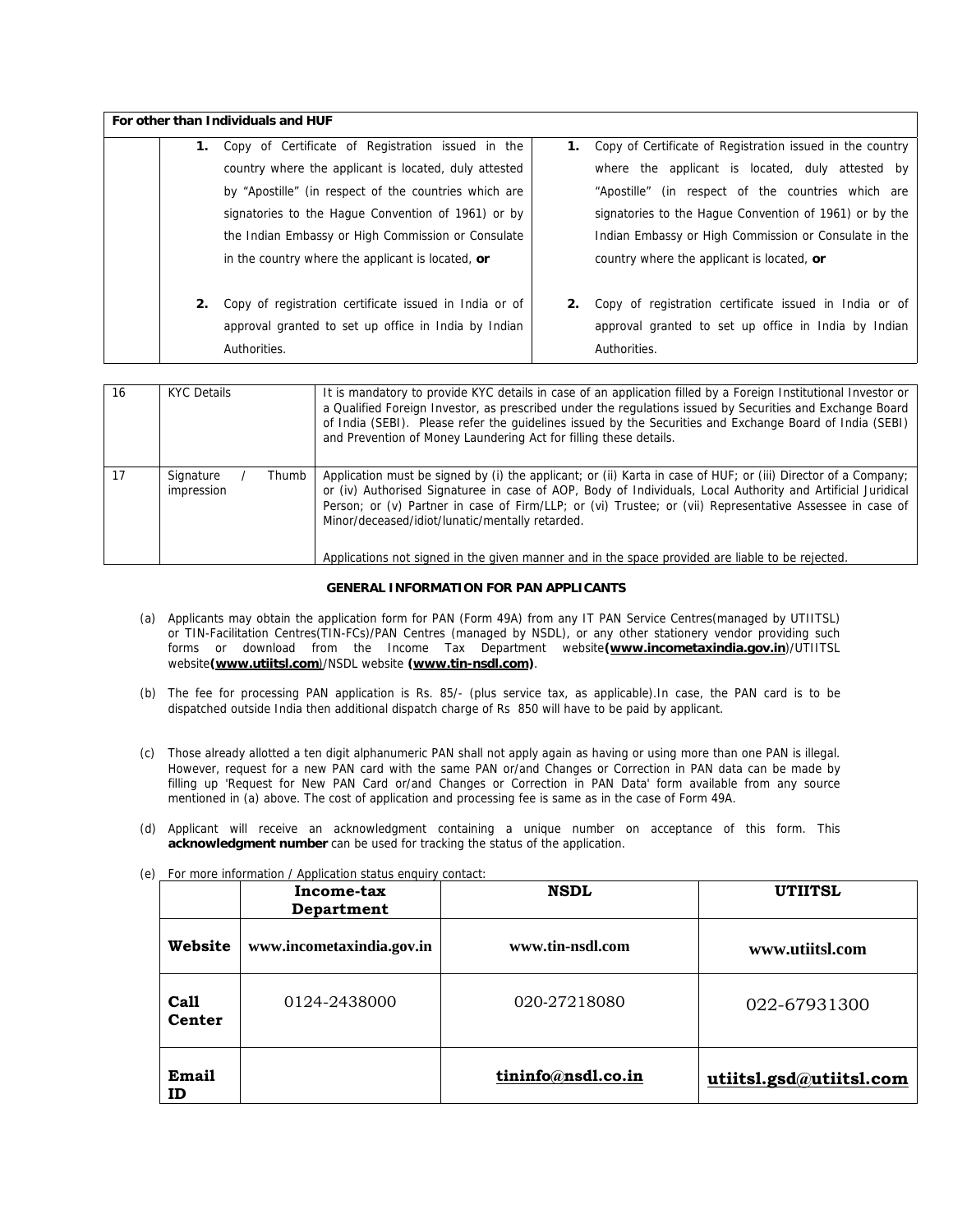|    | For other than Individuals and HUF                      |    |                                                           |
|----|---------------------------------------------------------|----|-----------------------------------------------------------|
|    | Copy of Certificate of Registration issued in the<br>1. | 1. | Copy of Certificate of Registration issued in the country |
|    | country where the applicant is located, duly attested   |    | where the applicant is located, duly attested by          |
|    | by "Apostille" (in respect of the countries which are   |    | "Apostille" (in respect of the countries which are        |
|    | signatories to the Haque Convention of 1961) or by      |    | signatories to the Hague Convention of 1961) or by the    |
|    | the Indian Embassy or High Commission or Consulate      |    | Indian Embassy or High Commission or Consulate in the     |
|    | in the country where the applicant is located, or       |    | country where the applicant is located, or                |
| 2. | Copy of registration certificate issued in India or of  | 2. | Copy of registration certificate issued in India or of    |
|    | approval granted to set up office in India by Indian    |    | approval granted to set up office in India by Indian      |
|    | Authorities.                                            |    | Authorities.                                              |

| 16 | KYC Details                      | It is mandatory to provide KYC details in case of an application filled by a Foreign Institutional Investor or<br>a Qualified Foreign Investor, as prescribed under the regulations issued by Securities and Exchange Board<br>of India (SEBI). Please refer the quidelines issued by the Securities and Exchange Board of India (SEBI)<br>and Prevention of Money Laundering Act for filling these details.                                                                                     |
|----|----------------------------------|--------------------------------------------------------------------------------------------------------------------------------------------------------------------------------------------------------------------------------------------------------------------------------------------------------------------------------------------------------------------------------------------------------------------------------------------------------------------------------------------------|
| 17 | Signature<br>Thumb<br>impression | Application must be signed by (i) the applicant; or (ii) Karta in case of HUF; or (iii) Director of a Company;<br>or (iv) Authorised Signaturee in case of AOP, Body of Individuals, Local Authority and Artificial Juridical<br>Person; or (v) Partner in case of Firm/LLP; or (vi) Trustee; or (vii) Representative Assessee in case of<br>Minor/deceased/idiot/lunatic/mentally retarded.<br>Applications not signed in the given manner and in the space provided are liable to be rejected. |

## **GENERAL INFORMATION FOR PAN APPLICANTS**

- (a) Applicants may obtain the application form for PAN (Form 49A) from any IT PAN Service Centres(managed by UTIITSL) or TIN-Facilitation Centres(TIN-FCs)/PAN Centres (managed by NSDL), or any other stationery vendor providing such forms or download from the Income Tax Department website**(www.incometaxindia.gov.in**)/UTIITSL website(www.utiitsl.com)/NSDL website (www.tin-nsdl.com).
- (b) The fee for processing PAN application is Rs. 85/- (plus service tax, as applicable). In case, the PAN card is to be dispatched outside India then additional dispatch charge of Rs 850 will have to be paid by applicant.
- (c) Those already allotted a ten digit alphanumeric PAN shall not apply again as having or using more than one PAN is illegal. However, request for a new PAN card with the same PAN or/and Changes or Correction in PAN data can be made by filling up 'Request for New PAN Card or/and Changes or Correction in PAN Data' form available from any source mentioned in (a) above. The cost of application and processing fee is same as in the case of Form 49A.
- (d) Applicant will receive an acknowledgment containing a unique number on acceptance of this form. This **acknowledgment number** can be used for tracking the status of the application.

|                | Income-tax<br>Department  | <b>NSDL</b>        | <b>UTIITSL</b>          |
|----------------|---------------------------|--------------------|-------------------------|
| Website        | www.incometaxindia.gov.in | www.tin-nsdl.com   | www.utiitsl.com         |
| Call<br>Center | 0124-2438000              | 020-27218080       | 022-67931300            |
| Email<br>ID    |                           | tininfo@nsdl.co.in | utiitsl.gsd@utiitsl.com |

(e) For more information / Application status enquiry contact: